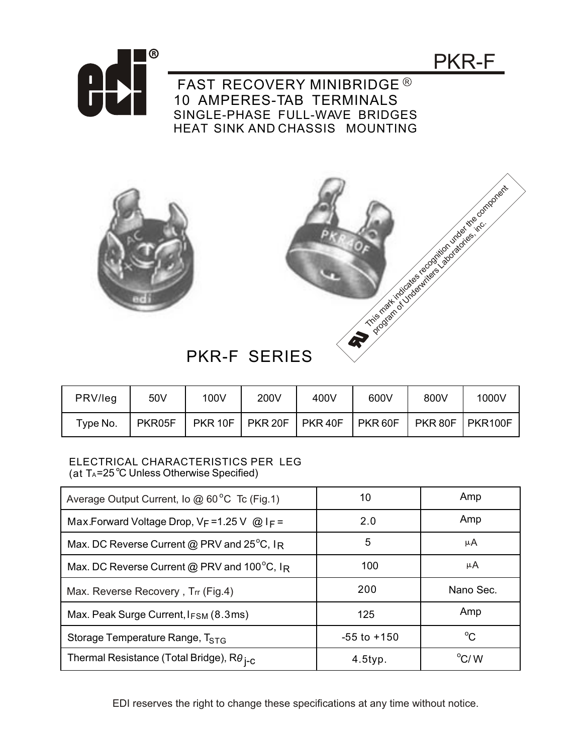

PKR-F

FAST RECOVERY MINIBRIDGE<sup>®</sup> 10 AMPERES-TAB TERMINALS SINGLE-PHASE FULL-WAVE BRIDGES HEAT SINK AND CHASSIS MOUNTING





## PKR-F SERIES

| PRV/leg  | 50V    | 100V    | 200V           | 400V               | 600V    | 800V    | 1000V   |
|----------|--------|---------|----------------|--------------------|---------|---------|---------|
| Type No. | PKR05F | PKR 10F | <b>PKR 20F</b> | PKR <sub>40F</sub> | PKR 60F | PKR 80F | PKR100F |

## ELECTRICAL CHARACTERISTICS PER LEG (at  $T_A = 25^\circ \text{C}$  Unless Otherwise Specified)

| Average Output Current, Io @ 60°C Tc (Fig.1)                | 10              | Amp            |  |
|-------------------------------------------------------------|-----------------|----------------|--|
| Max.Forward Voltage Drop, $V_F = 1.25$ V @ I <sub>F</sub> = | 2.0             | Amp            |  |
| Max. DC Reverse Current @ PRV and 25°C, IR                  | 5               | μA             |  |
| Max. DC Reverse Current @ PRV and 100°C, IR                 | 100             | μA             |  |
| Max. Reverse Recovery, Trr (Fig.4)                          | 200             | Nano Sec.      |  |
| Max. Peak Surge Current, IFSM (8.3ms)                       | 125             | Amp            |  |
| Storage Temperature Range, T <sub>STG</sub>                 | $-55$ to $+150$ | $^{\circ}C$    |  |
| Thermal Resistance (Total Bridge), $R\theta_{I-C}$          | $4.5$ typ.      | $\rm ^{o}C/$ W |  |

EDI reserves the right to change these specifications at any time without notice.